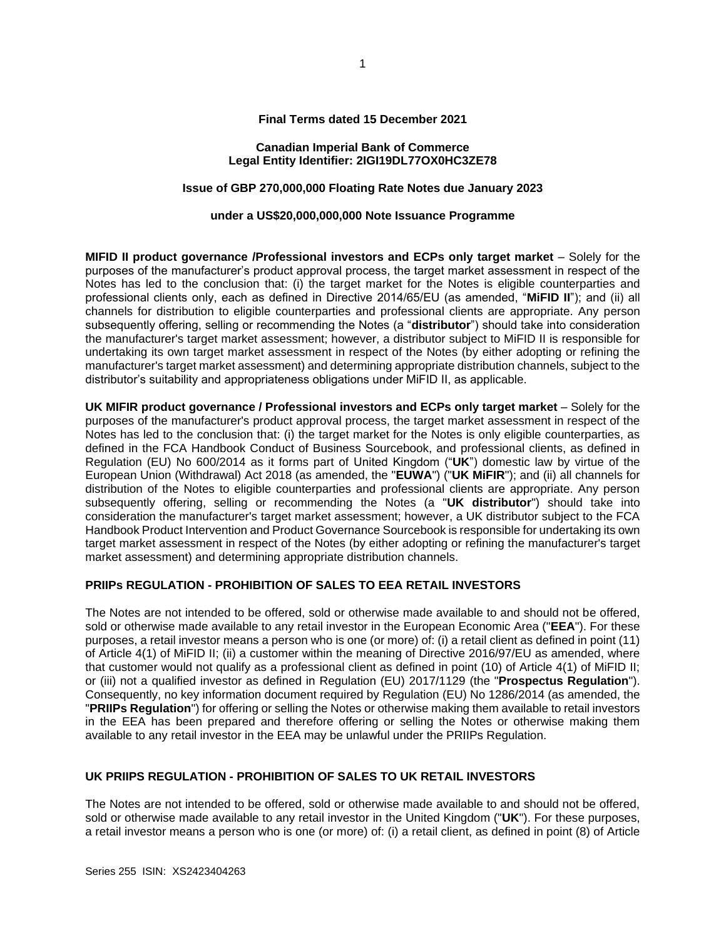## **Final Terms dated 15 December 2021**

## **Canadian Imperial Bank of Commerce Legal Entity Identifier: 2IGI19DL77OX0HC3ZE78**

# **Issue of GBP 270,000,000 Floating Rate Notes due January 2023**

## **under a US\$20,000,000,000 Note Issuance Programme**

**MIFID II product governance /Professional investors and ECPs only target market** – Solely for the purposes of the manufacturer's product approval process, the target market assessment in respect of the Notes has led to the conclusion that: (i) the target market for the Notes is eligible counterparties and professional clients only, each as defined in Directive 2014/65/EU (as amended, "**MiFID II**"); and (ii) all channels for distribution to eligible counterparties and professional clients are appropriate. Any person subsequently offering, selling or recommending the Notes (a "**distributor**") should take into consideration the manufacturer's target market assessment; however, a distributor subject to MiFID II is responsible for undertaking its own target market assessment in respect of the Notes (by either adopting or refining the manufacturer's target market assessment) and determining appropriate distribution channels, subject to the distributor's suitability and appropriateness obligations under MiFID II, as applicable.

**UK MIFIR product governance / Professional investors and ECPs only target market** – Solely for the purposes of the manufacturer's product approval process, the target market assessment in respect of the Notes has led to the conclusion that: (i) the target market for the Notes is only eligible counterparties, as defined in the FCA Handbook Conduct of Business Sourcebook, and professional clients, as defined in Regulation (EU) No 600/2014 as it forms part of United Kingdom ("**UK**") domestic law by virtue of the European Union (Withdrawal) Act 2018 (as amended, the "**EUWA**") ("**UK MiFIR**"); and (ii) all channels for distribution of the Notes to eligible counterparties and professional clients are appropriate. Any person subsequently offering, selling or recommending the Notes (a "**UK distributor**") should take into consideration the manufacturer's target market assessment; however, a UK distributor subject to the FCA Handbook Product Intervention and Product Governance Sourcebook is responsible for undertaking its own target market assessment in respect of the Notes (by either adopting or refining the manufacturer's target market assessment) and determining appropriate distribution channels.

### **PRIIPs REGULATION - PROHIBITION OF SALES TO EEA RETAIL INVESTORS**

The Notes are not intended to be offered, sold or otherwise made available to and should not be offered, sold or otherwise made available to any retail investor in the European Economic Area ("**EEA**"). For these purposes, a retail investor means a person who is one (or more) of: (i) a retail client as defined in point (11) of Article 4(1) of MiFID II; (ii) a customer within the meaning of Directive 2016/97/EU as amended, where that customer would not qualify as a professional client as defined in point (10) of Article 4(1) of MiFID II; or (iii) not a qualified investor as defined in Regulation (EU) 2017/1129 (the "**Prospectus Regulation**"). Consequently, no key information document required by Regulation (EU) No 1286/2014 (as amended, the "**PRIIPs Regulation**") for offering or selling the Notes or otherwise making them available to retail investors in the EEA has been prepared and therefore offering or selling the Notes or otherwise making them available to any retail investor in the EEA may be unlawful under the PRIIPs Regulation.

# **UK PRIIPS REGULATION - PROHIBITION OF SALES TO UK RETAIL INVESTORS**

The Notes are not intended to be offered, sold or otherwise made available to and should not be offered, sold or otherwise made available to any retail investor in the United Kingdom ("**UK**"). For these purposes, a retail investor means a person who is one (or more) of: (i) a retail client, as defined in point (8) of Article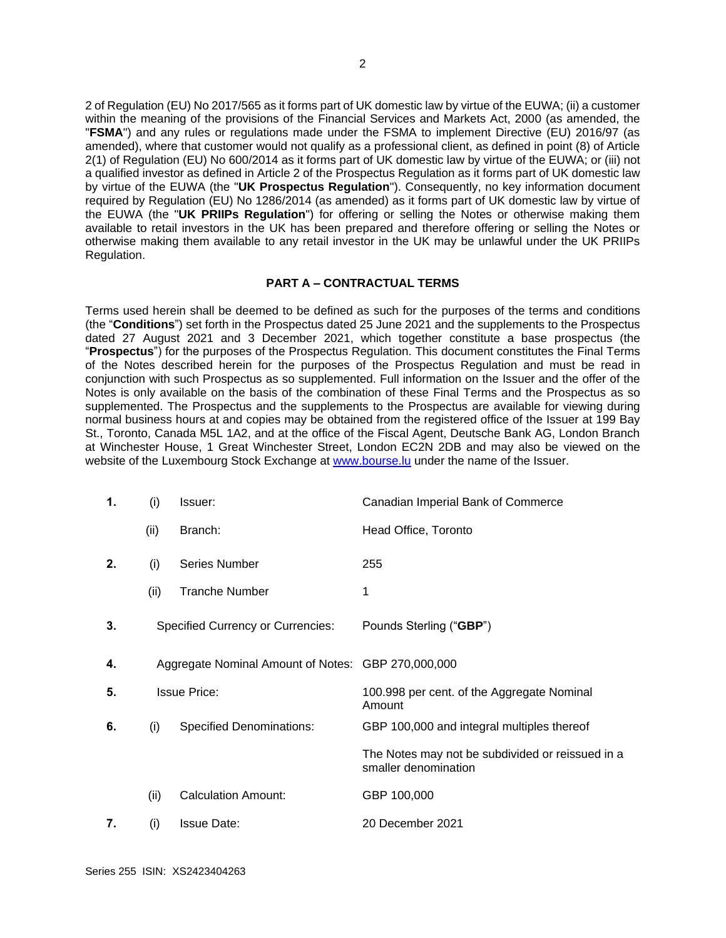2 of Regulation (EU) No 2017/565 as it forms part of UK domestic law by virtue of the EUWA; (ii) a customer within the meaning of the provisions of the Financial Services and Markets Act, 2000 (as amended, the "**FSMA**") and any rules or regulations made under the FSMA to implement Directive (EU) 2016/97 (as amended), where that customer would not qualify as a professional client, as defined in point (8) of Article 2(1) of Regulation (EU) No 600/2014 as it forms part of UK domestic law by virtue of the EUWA; or (iii) not a qualified investor as defined in Article 2 of the Prospectus Regulation as it forms part of UK domestic law by virtue of the EUWA (the "**UK Prospectus Regulation**"). Consequently, no key information document required by Regulation (EU) No 1286/2014 (as amended) as it forms part of UK domestic law by virtue of the EUWA (the "**UK PRIIPs Regulation**") for offering or selling the Notes or otherwise making them available to retail investors in the UK has been prepared and therefore offering or selling the Notes or otherwise making them available to any retail investor in the UK may be unlawful under the UK PRIIPs Regulation.

## **PART A – CONTRACTUAL TERMS**

Terms used herein shall be deemed to be defined as such for the purposes of the terms and conditions (the "**Conditions**") set forth in the Prospectus dated 25 June 2021 and the supplements to the Prospectus dated 27 August 2021 and 3 December 2021, which together constitute a base prospectus (the "**Prospectus**") for the purposes of the Prospectus Regulation. This document constitutes the Final Terms of the Notes described herein for the purposes of the Prospectus Regulation and must be read in conjunction with such Prospectus as so supplemented. Full information on the Issuer and the offer of the Notes is only available on the basis of the combination of these Final Terms and the Prospectus as so supplemented. The Prospectus and the supplements to the Prospectus are available for viewing during normal business hours at and copies may be obtained from the registered office of the Issuer at 199 Bay St., Toronto, Canada M5L 1A2, and at the office of the Fiscal Agent, Deutsche Bank AG, London Branch at Winchester House, 1 Great Winchester Street, London EC2N 2DB and may also be viewed on the website of the Luxembourg Stock Exchange at [www.bourse.lu](http://www.bourse.lu/) under the name of the Issuer.

| 1. | (i)  | Issuer:                                            | Canadian Imperial Bank of Commerce                                       |
|----|------|----------------------------------------------------|--------------------------------------------------------------------------|
|    | (ii) | Branch:                                            | Head Office, Toronto                                                     |
| 2. | (i)  | Series Number                                      | 255                                                                      |
|    | (ii) | <b>Tranche Number</b>                              | 1                                                                        |
| 3. |      | <b>Specified Currency or Currencies:</b>           | Pounds Sterling ("GBP")                                                  |
| 4. |      | Aggregate Nominal Amount of Notes: GBP 270,000,000 |                                                                          |
| 5. |      | <b>Issue Price:</b>                                | 100.998 per cent. of the Aggregate Nominal<br>Amount                     |
| 6. | (i)  | <b>Specified Denominations:</b>                    | GBP 100,000 and integral multiples thereof                               |
|    |      |                                                    | The Notes may not be subdivided or reissued in a<br>smaller denomination |
|    | (ii) | <b>Calculation Amount:</b>                         | GBP 100,000                                                              |
| 7. | (i)  | <b>Issue Date:</b>                                 | 20 December 2021                                                         |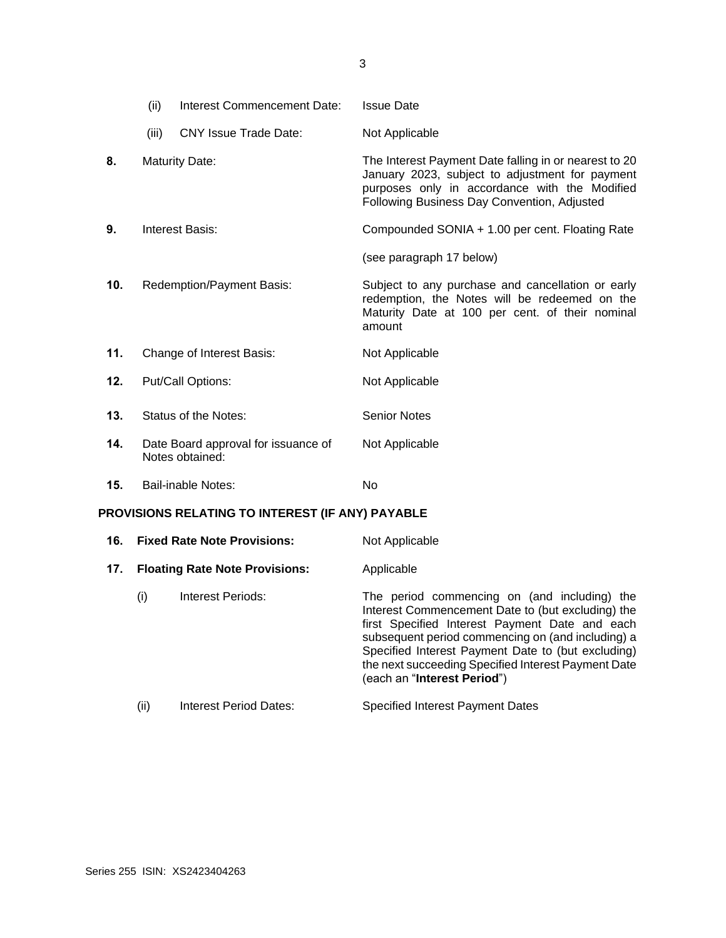|                                                  | (ii)  | Interest Commencement Date:                            | <b>Issue Date</b>                                                                                                                                                                                        |
|--------------------------------------------------|-------|--------------------------------------------------------|----------------------------------------------------------------------------------------------------------------------------------------------------------------------------------------------------------|
|                                                  | (iii) | <b>CNY Issue Trade Date:</b>                           | Not Applicable                                                                                                                                                                                           |
| 8.                                               |       | <b>Maturity Date:</b>                                  | The Interest Payment Date falling in or nearest to 20<br>January 2023, subject to adjustment for payment<br>purposes only in accordance with the Modified<br>Following Business Day Convention, Adjusted |
| 9.                                               |       | <b>Interest Basis:</b>                                 | Compounded SONIA + 1.00 per cent. Floating Rate                                                                                                                                                          |
|                                                  |       |                                                        | (see paragraph 17 below)                                                                                                                                                                                 |
| 10.                                              |       | Redemption/Payment Basis:                              | Subject to any purchase and cancellation or early<br>redemption, the Notes will be redeemed on the<br>Maturity Date at 100 per cent. of their nominal<br>amount                                          |
| 11.                                              |       | Change of Interest Basis:                              | Not Applicable                                                                                                                                                                                           |
| 12.                                              |       | Put/Call Options:                                      | Not Applicable                                                                                                                                                                                           |
| 13.                                              |       | Status of the Notes:                                   | <b>Senior Notes</b>                                                                                                                                                                                      |
| 14.                                              |       | Date Board approval for issuance of<br>Notes obtained: | Not Applicable                                                                                                                                                                                           |
| 15.                                              |       | <b>Bail-inable Notes:</b>                              | No                                                                                                                                                                                                       |
| PROVISIONS RELATING TO INTEREST (IF ANY) PAYABLE |       |                                                        |                                                                                                                                                                                                          |
| 16.                                              |       | <b>Fixed Rate Note Provisions:</b>                     | Not Applicable                                                                                                                                                                                           |

| 17. | <b>Floating Rate Note Provisions:</b> | Applicable |
|-----|---------------------------------------|------------|

| (i) | Interest Periods: | The period commencing on (and including) the<br>Interest Commencement Date to (but excluding) the<br>first Specified Interest Payment Date and each<br>subsequent period commencing on (and including) a<br>Specified Interest Payment Date to (but excluding)<br>the next succeeding Specified Interest Payment Date<br>(each an "Interest Period") |
|-----|-------------------|------------------------------------------------------------------------------------------------------------------------------------------------------------------------------------------------------------------------------------------------------------------------------------------------------------------------------------------------------|
|     |                   |                                                                                                                                                                                                                                                                                                                                                      |

(ii) Interest Period Dates: Specified Interest Payment Dates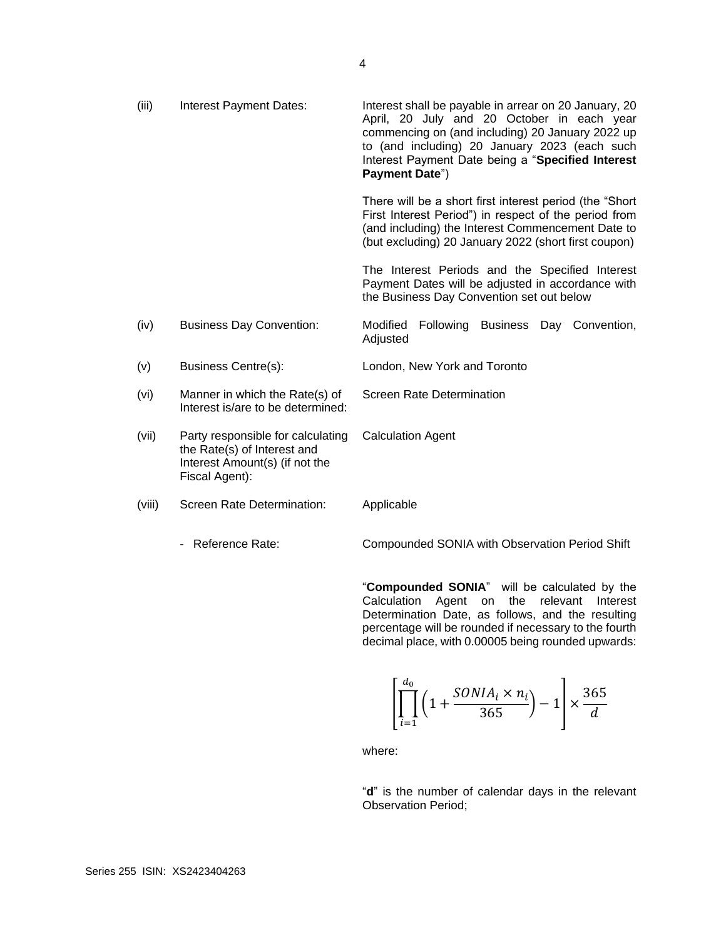| (iii)  | <b>Interest Payment Dates:</b>                                                                                       | Interest shall be payable in arrear on 20 January, 20<br>April, 20 July and 20 October in each year<br>commencing on (and including) 20 January 2022 up<br>to (and including) 20 January 2023 (each such<br>Interest Payment Date being a "Specified Interest<br>Payment Date") |
|--------|----------------------------------------------------------------------------------------------------------------------|---------------------------------------------------------------------------------------------------------------------------------------------------------------------------------------------------------------------------------------------------------------------------------|
|        |                                                                                                                      | There will be a short first interest period (the "Short"<br>First Interest Period") in respect of the period from<br>(and including) the Interest Commencement Date to<br>(but excluding) 20 January 2022 (short first coupon)                                                  |
|        |                                                                                                                      | The Interest Periods and the Specified Interest<br>Payment Dates will be adjusted in accordance with<br>the Business Day Convention set out below                                                                                                                               |
| (iv)   | <b>Business Day Convention:</b>                                                                                      | Modified<br>Following Business Day Convention,<br>Adjusted                                                                                                                                                                                                                      |
| (v)    | Business Centre(s):                                                                                                  | London, New York and Toronto                                                                                                                                                                                                                                                    |
| (vi)   | Manner in which the Rate(s) of<br>Interest is/are to be determined:                                                  | <b>Screen Rate Determination</b>                                                                                                                                                                                                                                                |
| (vii)  | Party responsible for calculating<br>the Rate(s) of Interest and<br>Interest Amount(s) (if not the<br>Fiscal Agent): | <b>Calculation Agent</b>                                                                                                                                                                                                                                                        |
| (viii) | Screen Rate Determination:                                                                                           | Applicable                                                                                                                                                                                                                                                                      |
|        | - Reference Rate:                                                                                                    | Compounded SONIA with Observation Period Shift                                                                                                                                                                                                                                  |

"**Compounded SONIA**" will be calculated by the Calculation Agent on the relevant Interest Determination Date, as follows, and the resulting percentage will be rounded if necessary to the fourth decimal place, with 0.00005 being rounded upwards:

$$
\left[\prod_{i=1}^{d_0} \left(1 + \frac{SONIA_i \times n_i}{365}\right) - 1\right] \times \frac{365}{d}
$$

where:

"**d**" is the number of calendar days in the relevant Observation Period;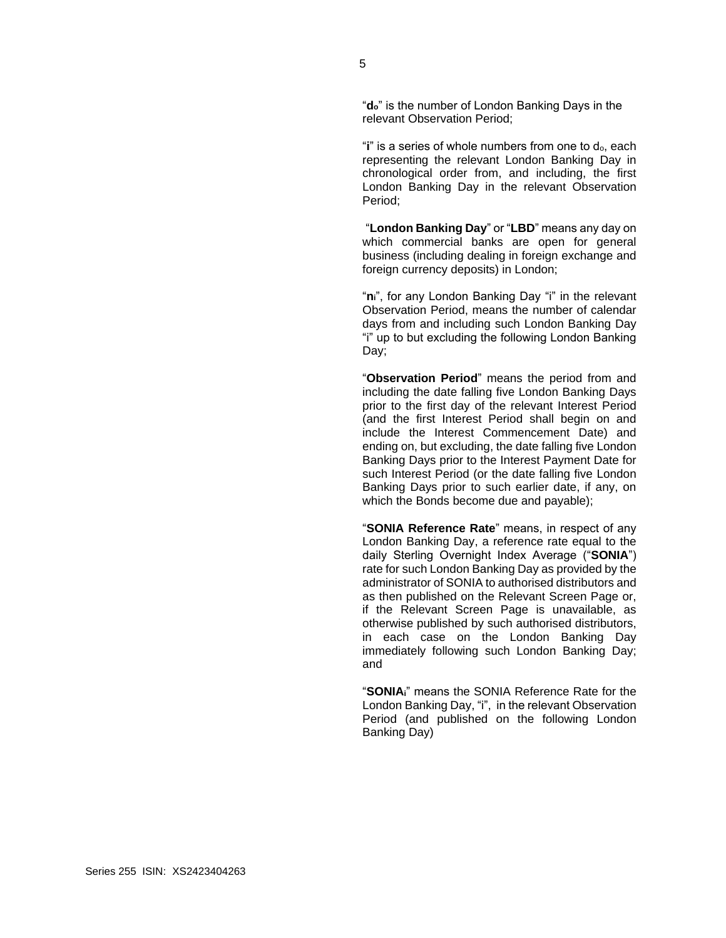"**do**" is the number of London Banking Days in the relevant Observation Period;

"**i**" is a series of whole numbers from one to do, each representing the relevant London Banking Day in chronological order from, and including, the first London Banking Day in the relevant Observation Period;

"**London Banking Day**" or "**LBD**" means any day on which commercial banks are open for general business (including dealing in foreign exchange and foreign currency deposits) in London;

"**ni**", for any London Banking Day "i" in the relevant Observation Period, means the number of calendar days from and including such London Banking Day "i" up to but excluding the following London Banking Day;

"**Observation Period**" means the period from and including the date falling five London Banking Days prior to the first day of the relevant Interest Period (and the first Interest Period shall begin on and include the Interest Commencement Date) and ending on, but excluding, the date falling five London Banking Days prior to the Interest Payment Date for such Interest Period (or the date falling five London Banking Days prior to such earlier date, if any, on which the Bonds become due and payable);

"**SONIA Reference Rate**" means, in respect of any London Banking Day, a reference rate equal to the daily Sterling Overnight Index Average ("**SONIA**") rate for such London Banking Day as provided by the administrator of SONIA to authorised distributors and as then published on the Relevant Screen Page or, if the Relevant Screen Page is unavailable, as otherwise published by such authorised distributors, in each case on the London Banking Day immediately following such London Banking Day; and

"**SONIAi**" means the SONIA Reference Rate for the London Banking Day, "i", in the relevant Observation Period (and published on the following London Banking Day)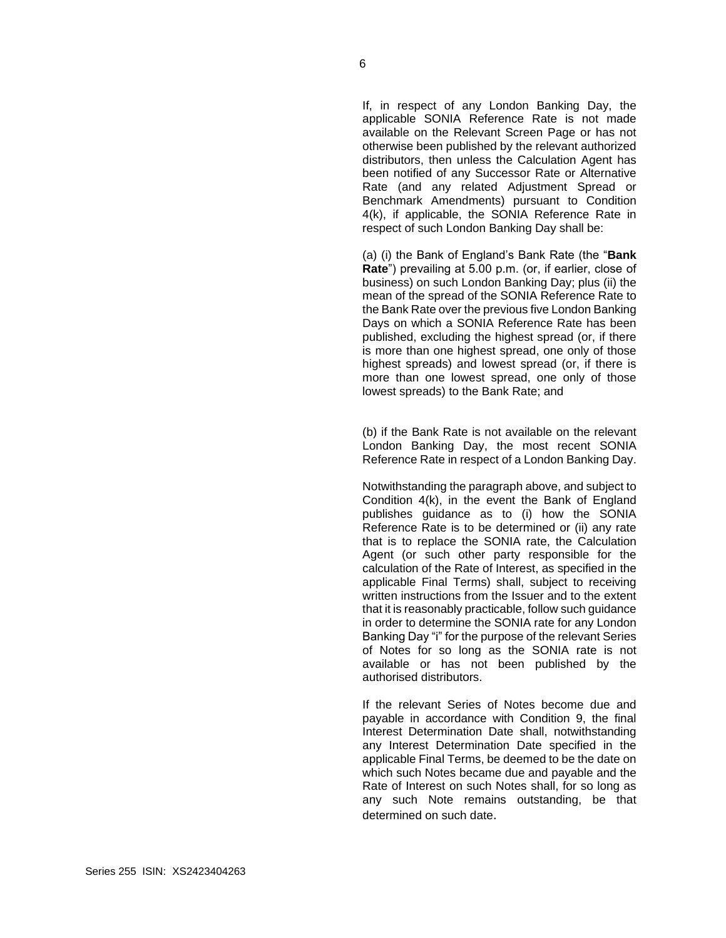If, in respect of any London Banking Day, the applicable SONIA Reference Rate is not made available on the Relevant Screen Page or has not otherwise been published by the relevant authorized distributors, then unless the Calculation Agent has been notified of any Successor Rate or Alternative Rate (and any related Adjustment Spread or Benchmark Amendments) pursuant to Condition 4(k), if applicable, the SONIA Reference Rate in respect of such London Banking Day shall be:

(a) (i) the Bank of England's Bank Rate (the "**Bank Rate**") prevailing at 5.00 p.m. (or, if earlier, close of business) on such London Banking Day; plus (ii) the mean of the spread of the SONIA Reference Rate to the Bank Rate over the previous five London Banking Days on which a SONIA Reference Rate has been published, excluding the highest spread (or, if there is more than one highest spread, one only of those highest spreads) and lowest spread (or, if there is more than one lowest spread, one only of those lowest spreads) to the Bank Rate; and

(b) if the Bank Rate is not available on the relevant London Banking Day, the most recent SONIA Reference Rate in respect of a London Banking Day.

Notwithstanding the paragraph above, and subject to Condition 4(k), in the event the Bank of England publishes guidance as to (i) how the SONIA Reference Rate is to be determined or (ii) any rate that is to replace the SONIA rate, the Calculation Agent (or such other party responsible for the calculation of the Rate of Interest, as specified in the applicable Final Terms) shall, subject to receiving written instructions from the Issuer and to the extent that it is reasonably practicable, follow such guidance in order to determine the SONIA rate for any London Banking Day "i" for the purpose of the relevant Series of Notes for so long as the SONIA rate is not available or has not been published by the authorised distributors.

If the relevant Series of Notes become due and payable in accordance with Condition 9, the final Interest Determination Date shall, notwithstanding any Interest Determination Date specified in the applicable Final Terms, be deemed to be the date on which such Notes became due and payable and the Rate of Interest on such Notes shall, for so long as any such Note remains outstanding, be that determined on such date.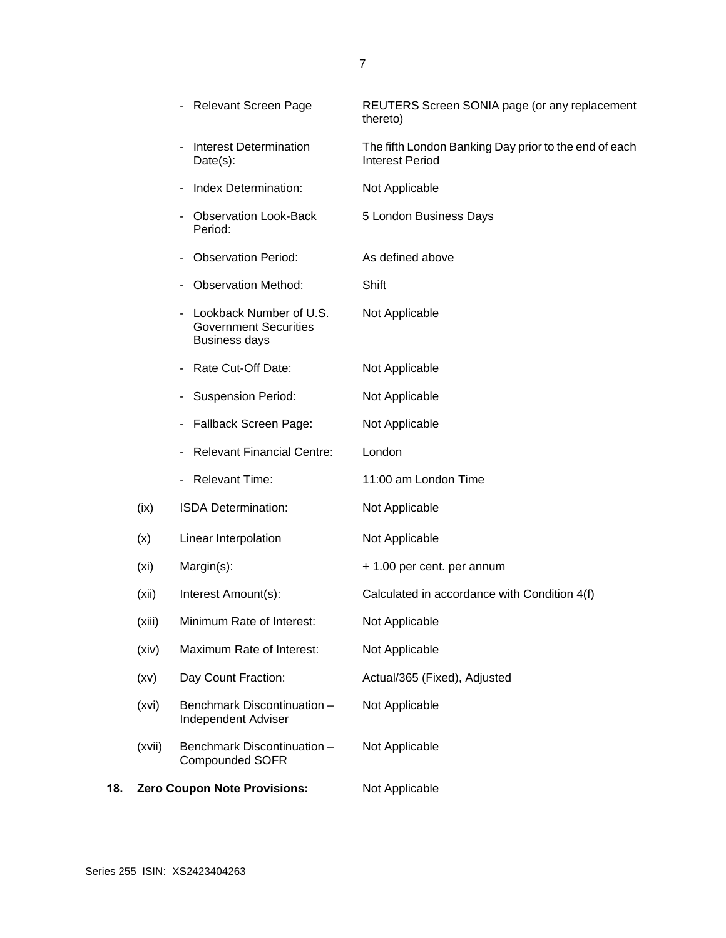|     |                   | - Relevant Screen Page                                                          | REUTERS Screen SONIA page (or any replacement<br>thereto)                       |
|-----|-------------------|---------------------------------------------------------------------------------|---------------------------------------------------------------------------------|
|     |                   | <b>Interest Determination</b><br>$Date(s)$ :                                    | The fifth London Banking Day prior to the end of each<br><b>Interest Period</b> |
|     |                   | Index Determination:                                                            | Not Applicable                                                                  |
|     |                   | <b>Observation Look-Back</b><br>Period:                                         | 5 London Business Days                                                          |
|     |                   | <b>Observation Period:</b>                                                      | As defined above                                                                |
|     |                   | <b>Observation Method:</b>                                                      | Shift                                                                           |
|     |                   | Lookback Number of U.S.<br><b>Government Securities</b><br><b>Business days</b> | Not Applicable                                                                  |
|     |                   | Rate Cut-Off Date:                                                              | Not Applicable                                                                  |
|     |                   | <b>Suspension Period:</b>                                                       | Not Applicable                                                                  |
|     |                   | Fallback Screen Page:                                                           | Not Applicable                                                                  |
|     |                   | <b>Relevant Financial Centre:</b>                                               | London                                                                          |
|     |                   | - Relevant Time:                                                                | 11:00 am London Time                                                            |
|     | (ix)              | ISDA Determination:                                                             | Not Applicable                                                                  |
|     | (x)               | Linear Interpolation                                                            | Not Applicable                                                                  |
|     | (x <sub>i</sub> ) | Margin(s):                                                                      | + 1.00 per cent. per annum                                                      |
|     | (xii)             | Interest Amount(s):                                                             | Calculated in accordance with Condition 4(f)                                    |
|     | (xiii)            | Minimum Rate of Interest:                                                       | Not Applicable                                                                  |
|     | (xiv)             | Maximum Rate of Interest:                                                       | Not Applicable                                                                  |
|     | (xv)              | Day Count Fraction:                                                             | Actual/365 (Fixed), Adjusted                                                    |
|     | (xvi)             | Benchmark Discontinuation -<br><b>Independent Adviser</b>                       | Not Applicable                                                                  |
|     | (xvii)            | Benchmark Discontinuation -<br><b>Compounded SOFR</b>                           | Not Applicable                                                                  |
| 18. |                   | <b>Zero Coupon Note Provisions:</b>                                             | Not Applicable                                                                  |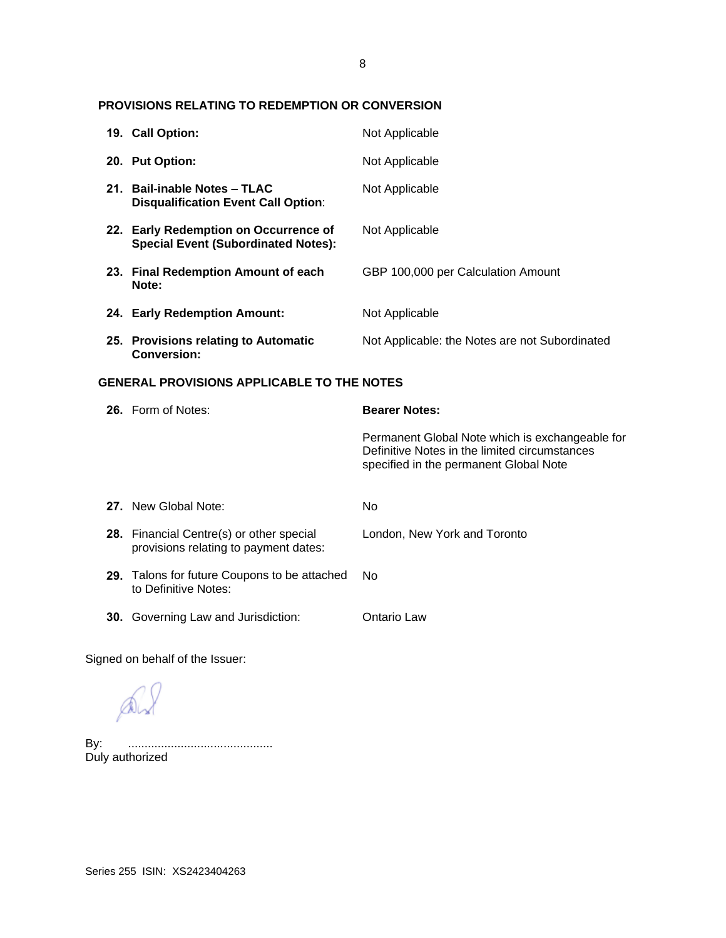# **PROVISIONS RELATING TO REDEMPTION OR CONVERSION**

|                                                   | 19. Call Option:                                                                    | Not Applicable                                                                                                                             |
|---------------------------------------------------|-------------------------------------------------------------------------------------|--------------------------------------------------------------------------------------------------------------------------------------------|
|                                                   | 20. Put Option:                                                                     | Not Applicable                                                                                                                             |
|                                                   | 21. Bail-inable Notes - TLAC<br><b>Disqualification Event Call Option:</b>          | Not Applicable                                                                                                                             |
|                                                   | 22. Early Redemption on Occurrence of<br><b>Special Event (Subordinated Notes):</b> | Not Applicable                                                                                                                             |
|                                                   | 23. Final Redemption Amount of each<br>Note:                                        | GBP 100,000 per Calculation Amount                                                                                                         |
|                                                   | 24. Early Redemption Amount:                                                        | Not Applicable                                                                                                                             |
|                                                   | 25. Provisions relating to Automatic<br><b>Conversion:</b>                          | Not Applicable: the Notes are not Subordinated                                                                                             |
| <b>GENERAL PROVISIONS APPLICABLE TO THE NOTES</b> |                                                                                     |                                                                                                                                            |
|                                                   |                                                                                     |                                                                                                                                            |
|                                                   | 26. Form of Notes:                                                                  | <b>Bearer Notes:</b>                                                                                                                       |
|                                                   |                                                                                     | Permanent Global Note which is exchangeable for<br>Definitive Notes in the limited circumstances<br>specified in the permanent Global Note |
|                                                   | 27. New Global Note:                                                                | No                                                                                                                                         |
|                                                   | 28. Financial Centre(s) or other special<br>provisions relating to payment dates:   | London, New York and Toronto                                                                                                               |
|                                                   | 29. Talons for future Coupons to be attached<br>to Definitive Notes:                | <b>No</b>                                                                                                                                  |

Signed on behalf of the Issuer:

AV

By: ............................................ Duly authorized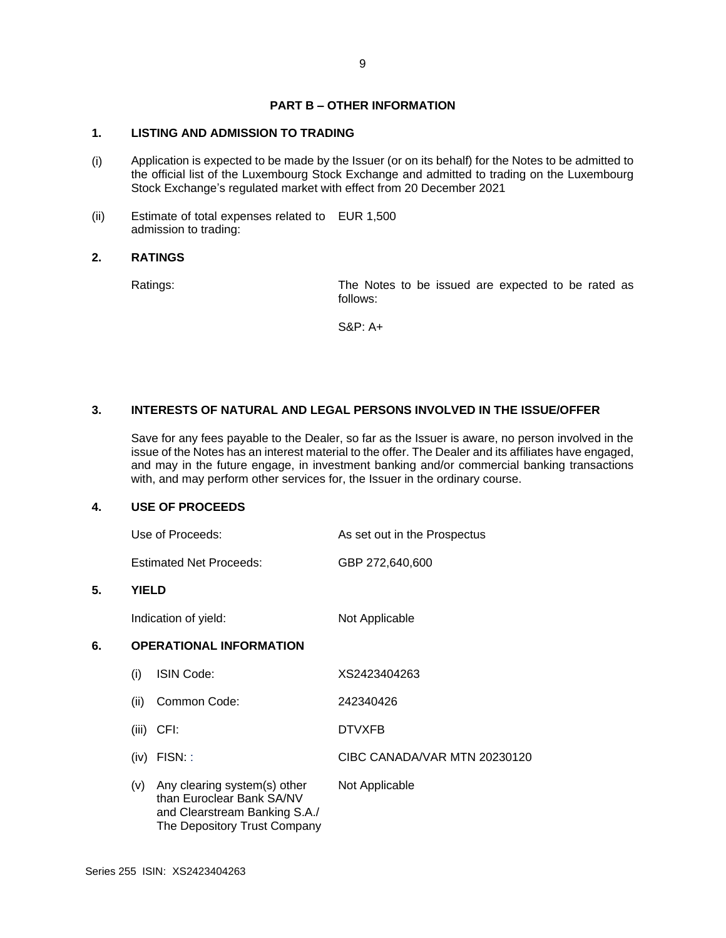# **PART B – OTHER INFORMATION**

# **1. LISTING AND ADMISSION TO TRADING**

- (i) Application is expected to be made by the Issuer (or on its behalf) for the Notes to be admitted to the official list of the Luxembourg Stock Exchange and admitted to trading on the Luxembourg Stock Exchange's regulated market with effect from 20 December 2021
- (ii) Estimate of total expenses related to EUR 1,500 admission to trading:

## **2. RATINGS**

Ratings: The Notes to be issued are expected to be rated as follows:

S&P: A+

## **3. INTERESTS OF NATURAL AND LEGAL PERSONS INVOLVED IN THE ISSUE/OFFER**

Save for any fees payable to the Dealer, so far as the Issuer is aware, no person involved in the issue of the Notes has an interest material to the offer. The Dealer and its affiliates have engaged, and may in the future engage, in investment banking and/or commercial banking transactions with, and may perform other services for, the Issuer in the ordinary course.

### **4. USE OF PROCEEDS**

| Use of Proceeds:               | As set out in the Prospectus |  |
|--------------------------------|------------------------------|--|
| <b>Estimated Net Proceeds:</b> | GBP 272,640,600              |  |

### **5. YIELD**

Indication of yield: Not Applicable

# **6. OPERATIONAL INFORMATION**

| (i)   | ISIN Code:                                                                                                                 | XS2423404263                 |
|-------|----------------------------------------------------------------------------------------------------------------------------|------------------------------|
| (ii)  | Common Code:                                                                                                               | 242340426                    |
| (iii) | CFI:                                                                                                                       | <b>DTVXFB</b>                |
| (iv)  | FISN:                                                                                                                      | CIBC CANADA/VAR MTN 20230120 |
| (V)   | Any clearing system(s) other<br>than Euroclear Bank SA/NV<br>and Clearstream Banking S.A./<br>The Depository Trust Company | Not Applicable               |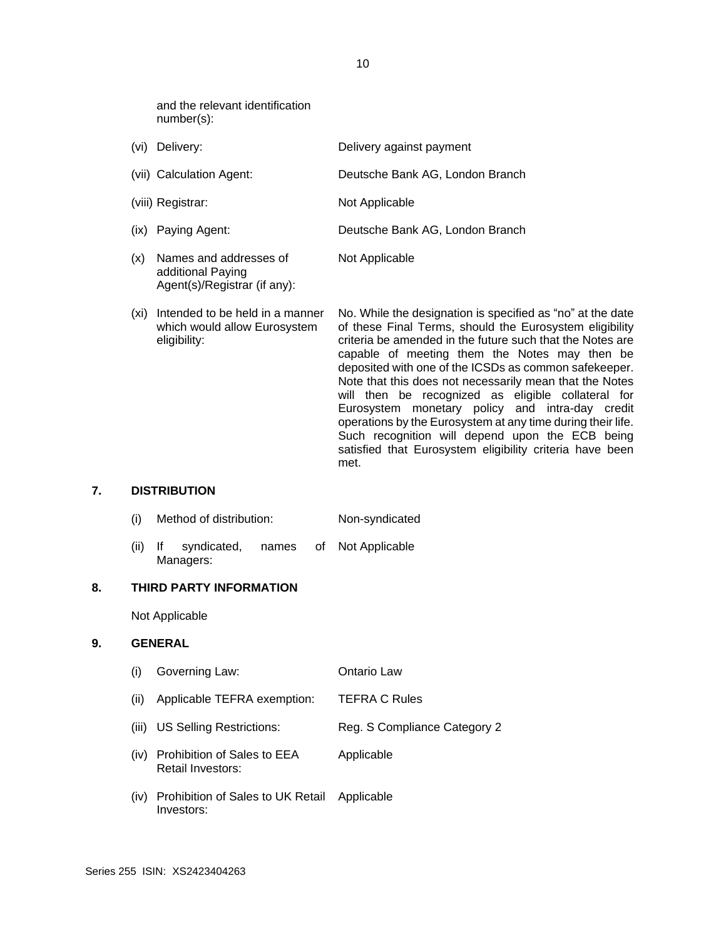and the relevant identification number(s):

Agent(s)/Registrar (if any):

| (vi) | Delivery:                                   | Delivery against payment        |
|------|---------------------------------------------|---------------------------------|
|      | (vii) Calculation Agent:                    | Deutsche Bank AG, London Branch |
|      | (viii) Registrar:                           | Not Applicable                  |
|      | (ix) Paying Agent:                          | Deutsche Bank AG, London Branch |
| (x)  | Names and addresses of<br>additional Paying | Not Applicable                  |

(xi) Intended to be held in a manner which would allow Eurosystem eligibility: No. While the designation is specified as "no" at the date of these Final Terms, should the Eurosystem eligibility criteria be amended in the future such that the Notes are capable of meeting them the Notes may then be deposited with one of the ICSDs as common safekeeper. Note that this does not necessarily mean that the Notes will then be recognized as eligible collateral for Eurosystem monetary policy and intra-day credit operations by the Eurosystem at any time during their life. Such recognition will depend upon the ECB being satisfied that Eurosystem eligibility criteria have been met.

## **7. DISTRIBUTION**

- (i) Method of distribution: Non-syndicated
- (ii) If syndicated, names of Managers: Not Applicable

#### **8. THIRD PARTY INFORMATION**

Not Applicable

# **9. GENERAL**

- (i) Governing Law: Ontario Law
- (ii) Applicable TEFRA exemption: TEFRA C Rules
- (iii) US Selling Restrictions: Reg. S Compliance Category 2
- (iv) Prohibition of Sales to EEA Retail Investors: Applicable
- (iv) Prohibition of Sales to UK Retail Investors: Applicable